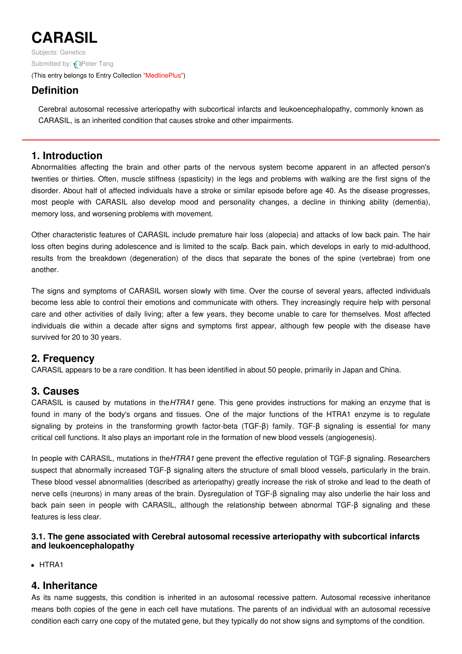# **CARASIL**

Subjects: [Genetics](https://encyclopedia.pub/item/subject/56) Submitted by: **P**eter Tang (This entry belongs to Entry Collection ["MedlinePlus"](https://encyclopedia.pub/entry/collection/24))

# **Definition**

Cerebral autosomal recessive arteriopathy with subcortical infarcts and leukoencephalopathy, commonly known as CARASIL, is an inherited condition that causes stroke and other impairments.

## **1. Introduction**

Abnormalities affecting the brain and other parts of the nervous system become apparent in an affected person's twenties or thirties. Often, muscle stiffness (spasticity) in the legs and problems with walking are the first signs of the disorder. About half of affected individuals have a stroke or similar episode before age 40. As the disease progresses, most people with CARASIL also develop mood and personality changes, a decline in thinking ability (dementia), memory loss, and worsening problems with movement.

Other characteristic features of CARASIL include premature hair loss (alopecia) and attacks of low back pain. The hair loss often begins during adolescence and is limited to the scalp. Back pain, which develops in early to mid-adulthood, results from the breakdown (degeneration) of the discs that separate the bones of the spine (vertebrae) from one another.

The signs and symptoms of CARASIL worsen slowly with time. Over the course of several years, affected individuals become less able to control their emotions and communicate with others. They increasingly require help with personal care and other activities of daily living; after a few years, they become unable to care for themselves. Most affected individuals die within a decade after signs and symptoms first appear, although few people with the disease have survived for 20 to 30 years.

## **2. Frequency**

CARASIL appears to be a rare condition. It has been identified in about 50 people, primarily in Japan and China.

## **3. Causes**

CARASIL is caused by mutations in the*HTRA1* gene. This gene provides instructions for making an enzyme that is found in many of the body's organs and tissues. One of the major functions of the HTRA1 enzyme is to regulate signaling by proteins in the transforming growth factor-beta (TGF-β) family. TGF-β signaling is essential for many critical cell functions. It also plays an important role in the formation of new blood vessels (angiogenesis).

In people with CARASIL, mutations in the*HTRA1* gene prevent the effective regulation of TGF-β signaling. Researchers suspect that abnormally increased TGF-β signaling alters the structure of small blood vessels, particularly in the brain. These blood vessel abnormalities (described as arteriopathy) greatly increase the risk of stroke and lead to the death of nerve cells (neurons) in many areas of the brain. Dysregulation of TGF-β signaling may also underlie the hair loss and back pain seen in people with CARASIL, although the relationship between abnormal TGF-β signaling and these features is less clear.

#### **3.1. The gene associated with Cerebral autosomal recessive arteriopathy with subcortical infarcts and leukoencephalopathy**

• HTRA1

### **4. Inheritance**

As its name suggests, this condition is inherited in an autosomal recessive pattern. Autosomal recessive inheritance means both copies of the gene in each cell have mutations. The parents of an individual with an autosomal recessive condition each carry one copy of the mutated gene, but they typically do not show signs and symptoms of the condition.